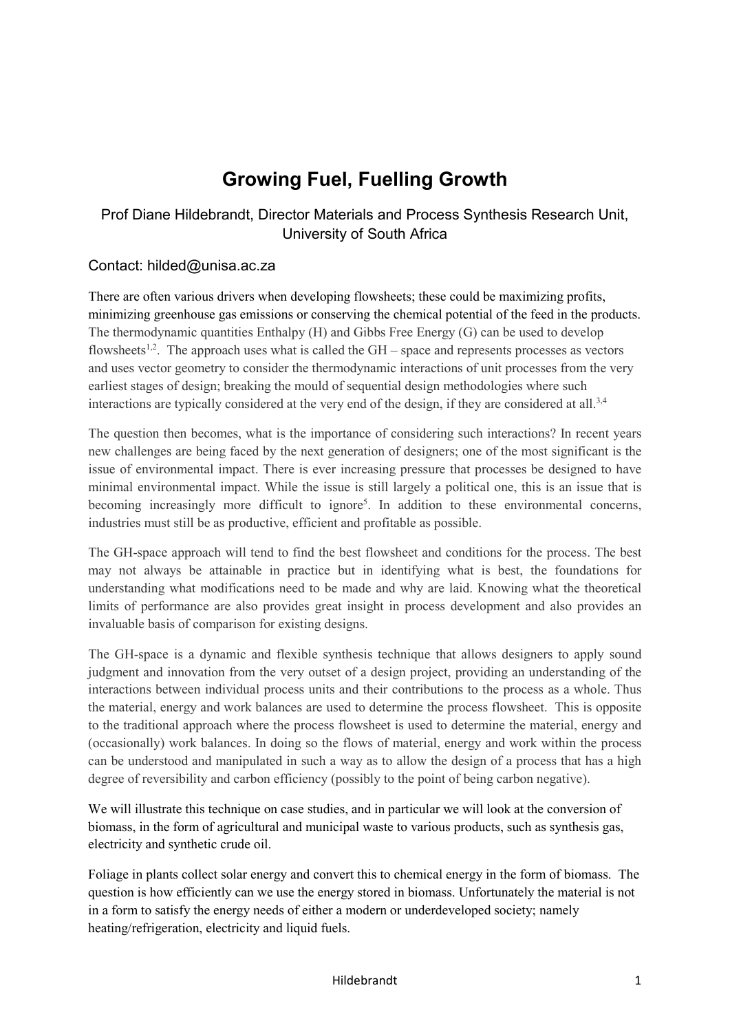## **Growing Fuel, Fuelling Growth**

## Prof Diane Hildebrandt, Director Materials and Process Synthesis Research Unit, University of South Africa

## Contact: hilded@unisa.ac.za

There are often various drivers when developing flowsheets; these could be maximizing profits, minimizing greenhouse gas emissions or conserving the chemical potential of the feed in the products. The thermodynamic quantities Enthalpy (H) and Gibbs Free Energy (G) can be used to develop flowsheets<sup>1,2</sup>. The approach uses what is called the  $GH$  – space and represents processes as vectors and uses vector geometry to consider the thermodynamic interactions of unit processes from the very earliest stages of design; breaking the mould of sequential design methodologies where such interactions are typically considered at the very end of the design, if they are considered at all.<sup>3,4</sup>

The question then becomes, what is the importance of considering such interactions? In recent years new challenges are being faced by the next generation of designers; one of the most significant is the issue of environmental impact. There is ever increasing pressure that processes be designed to have minimal environmental impact. While the issue is still largely a political one, this is an issue that is becoming increasingly more difficult to ignore<sup>5</sup>. In addition to these environmental concerns, industries must still be as productive, efficient and profitable as possible.

The GH-space approach will tend to find the best flowsheet and conditions for the process. The best may not always be attainable in practice but in identifying what is best, the foundations for understanding what modifications need to be made and why are laid. Knowing what the theoretical limits of performance are also provides great insight in process development and also provides an invaluable basis of comparison for existing designs.

The GH-space is a dynamic and flexible synthesis technique that allows designers to apply sound judgment and innovation from the very outset of a design project, providing an understanding of the interactions between individual process units and their contributions to the process as a whole. Thus the material, energy and work balances are used to determine the process flowsheet. This is opposite to the traditional approach where the process flowsheet is used to determine the material, energy and (occasionally) work balances. In doing so the flows of material, energy and work within the process can be understood and manipulated in such a way as to allow the design of a process that has a high degree of reversibility and carbon efficiency (possibly to the point of being carbon negative).

We will illustrate this technique on case studies, and in particular we will look at the conversion of biomass, in the form of agricultural and municipal waste to various products, such as synthesis gas, electricity and synthetic crude oil.

Foliage in plants collect solar energy and convert this to chemical energy in the form of biomass. The question is how efficiently can we use the energy stored in biomass. Unfortunately the material is not in a form to satisfy the energy needs of either a modern or underdeveloped society; namely heating/refrigeration, electricity and liquid fuels.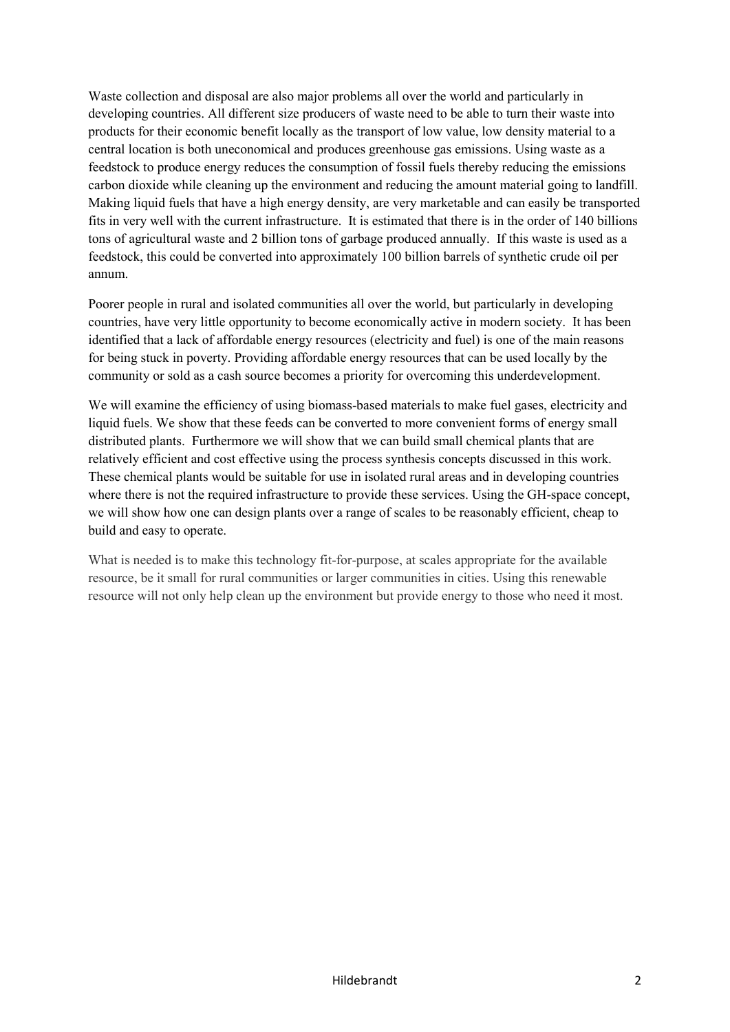Waste collection and disposal are also major problems all over the world and particularly in developing countries. All different size producers of waste need to be able to turn their waste into products for their economic benefit locally as the transport of low value, low density material to a central location is both uneconomical and produces greenhouse gas emissions. Using waste as a feedstock to produce energy reduces the consumption of fossil fuels thereby reducing the emissions carbon dioxide while cleaning up the environment and reducing the amount material going to landfill. Making liquid fuels that have a high energy density, are very marketable and can easily be transported fits in very well with the current infrastructure. It is estimated that there is in the order of 140 billions tons of agricultural waste and 2 billion tons of garbage produced annually. If this waste is used as a feedstock, this could be converted into approximately 100 billion barrels of synthetic crude oil per annum.

Poorer people in rural and isolated communities all over the world, but particularly in developing countries, have very little opportunity to become economically active in modern society. It has been identified that a lack of affordable energy resources (electricity and fuel) is one of the main reasons for being stuck in poverty. Providing affordable energy resources that can be used locally by the community or sold as a cash source becomes a priority for overcoming this underdevelopment.

We will examine the efficiency of using biomass-based materials to make fuel gases, electricity and liquid fuels. We show that these feeds can be converted to more convenient forms of energy small distributed plants. Furthermore we will show that we can build small chemical plants that are relatively efficient and cost effective using the process synthesis concepts discussed in this work. These chemical plants would be suitable for use in isolated rural areas and in developing countries where there is not the required infrastructure to provide these services. Using the GH-space concept, we will show how one can design plants over a range of scales to be reasonably efficient, cheap to build and easy to operate.

What is needed is to make this technology fit-for-purpose, at scales appropriate for the available resource, be it small for rural communities or larger communities in cities. Using this renewable resource will not only help clean up the environment but provide energy to those who need it most.